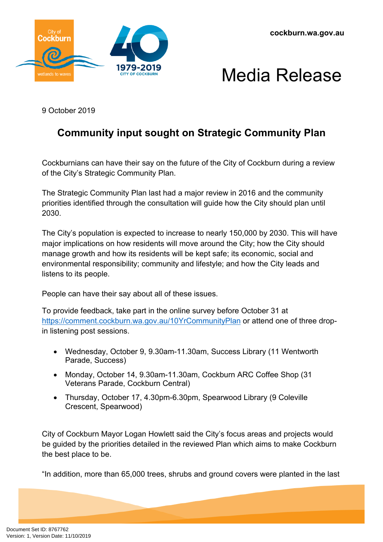



9 October 2019

## **Community input sought on Strategic Community Plan**

Cockburnians can have their say on the future of the City of Cockburn during a review of the City's Strategic Community Plan.

The Strategic Community Plan last had a major review in 2016 and the community priorities identified through the consultation will guide how the City should plan until 2030.

The City's population is expected to increase to nearly 150,000 by 2030. This will have major implications on how residents will move around the City; how the City should manage growth and how its residents will be kept safe; its economic, social and environmental responsibility; community and lifestyle; and how the City leads and listens to its people.

People can have their say about all of these issues.

To provide feedback, take part in the online survey before October 31 at <https://comment.cockburn.wa.gov.au/10YrCommunityPlan> or attend one of three dropin listening post sessions.

- Wednesday, October 9, 9.30am-11.30am, Success Library (11 Wentworth Parade, Success)
- Monday, October 14, 9.30am-11.30am, Cockburn ARC Coffee Shop (31 Veterans Parade, Cockburn Central)
- Thursday, October 17, 4.30pm-6.30pm, Spearwood Library (9 Coleville Crescent, Spearwood)

City of Cockburn Mayor Logan Howlett said the City's focus areas and projects would be guided by the priorities detailed in the reviewed Plan which aims to make Cockburn the best place to be.

"In addition, more than 65,000 trees, shrubs and ground covers were planted in the last

Document Set ID: 8767762<br>Version: 1, Version Date: 11/10/2019